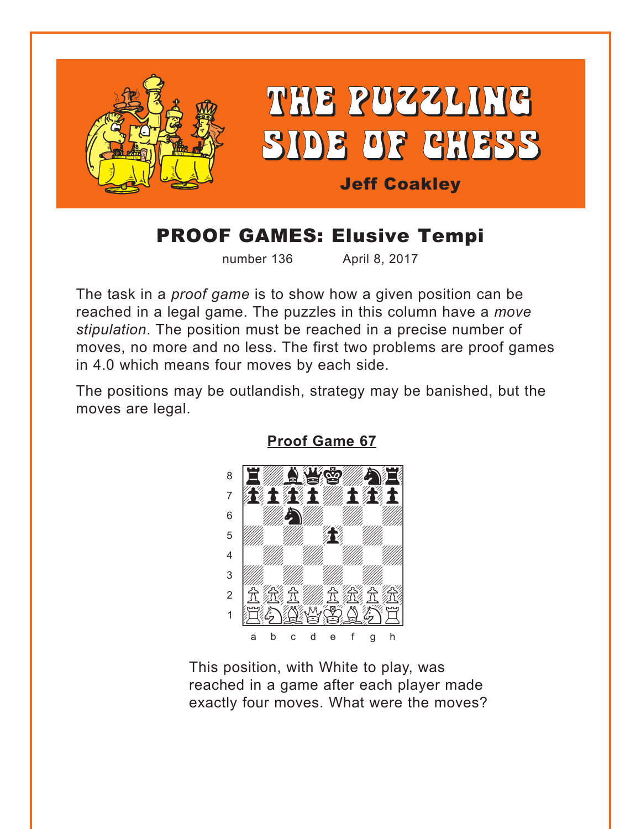<span id="page-0-0"></span>

# **PROOF GAMES: Elusive Tempi**

number 136

April 8, 2017

The task in a *proof game* is to show how a given position can be reached in a legal game. The puzzles in this column have a move stipulation. The position must be reached in a precise number of moves, no more and no less. The first two problems are proof games in 4.0 which means four moves by each side.

The positions may be outlandish, strategy may be banished, but the moves are legal.



**Proof Game 67** 

This position, with White to play, was reached in a game after each player made exactly four moves. What were the moves?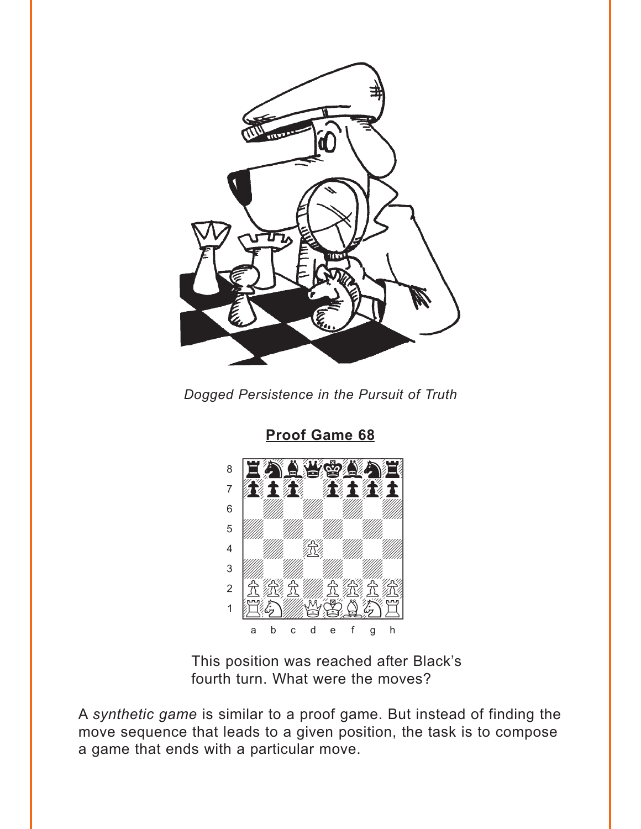<span id="page-1-0"></span>

Dogged Persistence in the Pursuit of Truth



**Proof Game 68** 

This position was reached after Black's fourth turn. What were the moves?

A synthetic game is similar to a proof game. But instead of finding the move sequence that leads to a given position, the task is to compose a game that ends with a particular move.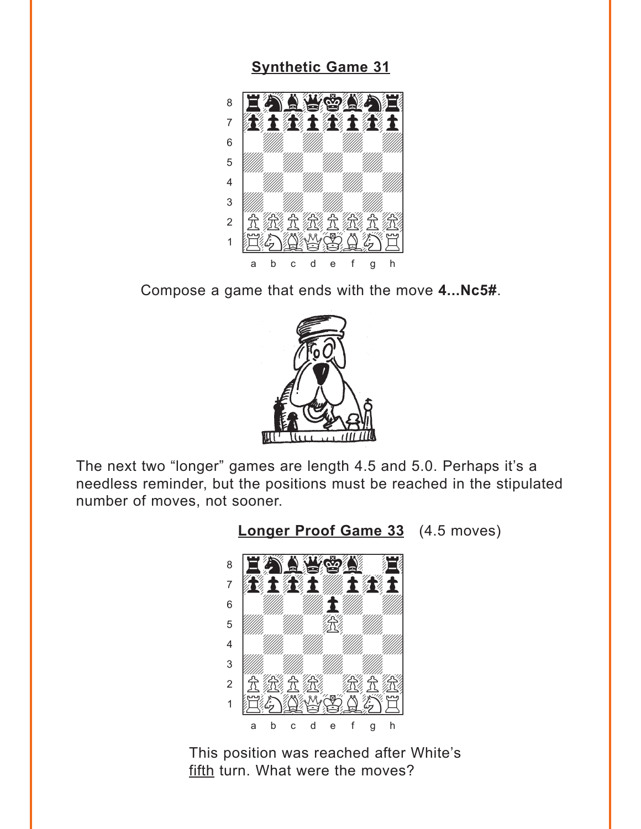#### **[Synthetic Game 31](#page-5-0)**

<span id="page-2-0"></span>

Compose a game that ends with the move **4...Nc5#**.



The next two "longer" games are length 4.5 and 5.0. Perhaps it's a needless reminder, but the positions must be reached in the stipulated number of moves, not sooner.



**[Longer Proof Game 33](#page-5-0)** (4.5 moves)

This position was reached after White's fifth turn. What were the moves?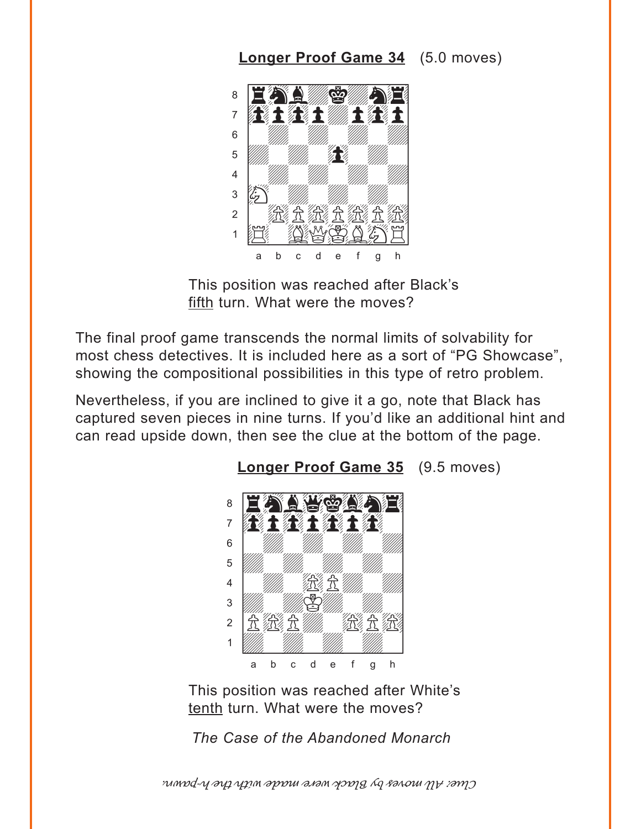## **[Longer Proof Game 34](#page-6-0)** (5.0 moves)

<span id="page-3-0"></span>

This position was reached after Black's fifth turn. What were the moves?

The final proof game transcends the normal limits of solvability for most chess detectives. It is included here as a sort of "PG Showcase", showing the compositional possibilities in this type of retro problem.

Nevertheless, if you are inclined to give it a go, note that Black has captured seven pieces in nine turns. If you'd like an additional hint and can read upside down, then see the clue at the bottom of the page.





This position was reached after White's tenth turn. What were the moves?

*The Case of the Abandoned Monarch*

Clue: All moves by Black were made with the h-pawn.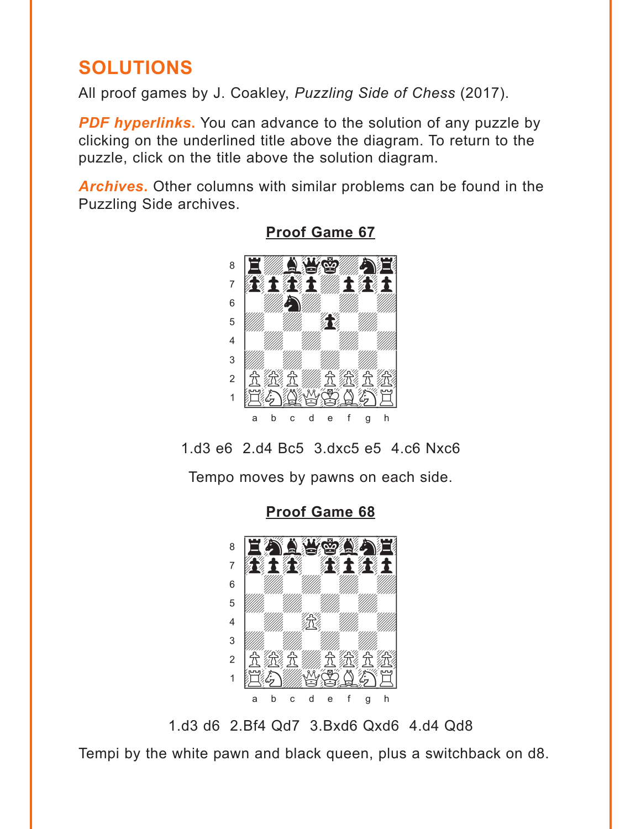# <span id="page-4-0"></span>**SOLUTIONS**

All proof games by J. Coakley, *Puzzling Side of Chess* (2017).

*PDF hyperlinks***.** You can advance to the solution of any puzzle by clicking on the underlined title above the diagram. To return to the puzzle, click on the title above the solution diagram.

*Archives***.** Other columns with similar problems can be found in the Puzzling Side archives.



**[Proof Game 67](#page-0-0)**

1.d3 e6 2.d4 Bc5 3.dxc5 e5 4.c6 Nxc6

Tempo moves by pawns on each side.



**[Proof Game 68](#page-1-0)**

1.d3 d6 2.Bf4 Qd7 3.Bxd6 Qxd6 4.d4 Qd8

Tempi by the white pawn and black queen, plus a switchback on d8.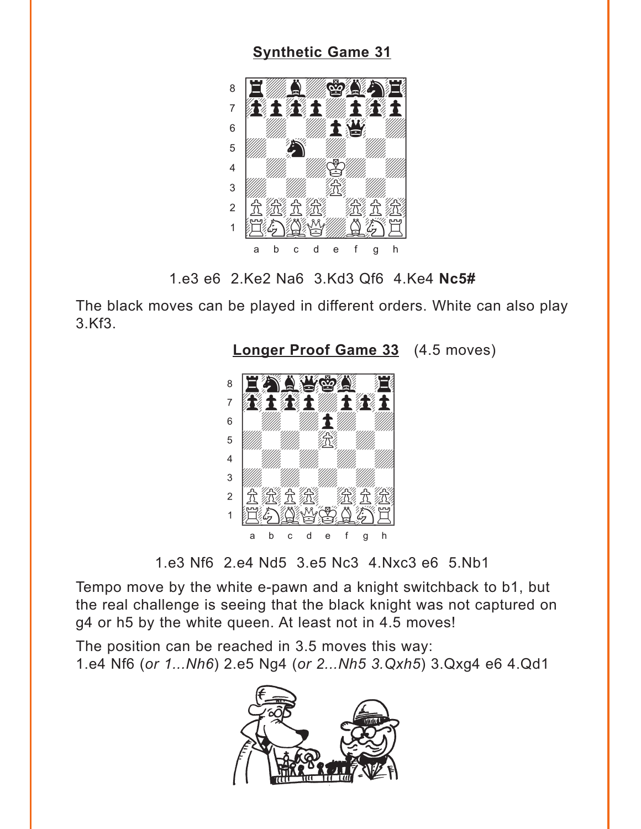### **Synthetic Game 31**

<span id="page-5-0"></span>

1.e3 e6 2.Ke2 Na6 3.Kd3 Qf6 4.Ke4 Nc5#

The black moves can be played in different orders. White can also play 3.Kf3.



**Longer Proof Game 33** (4.5 moves)

1.e3 Nf6 2.e4 Nd5 3.e5 Nc3 4.Nxc3 e6 5.Nb1

Tempo move by the white e-pawn and a knight switchback to b1, but the real challenge is seeing that the black knight was not captured on g4 or h5 by the white queen. At least not in 4.5 moves!

The position can be reached in 3.5 moves this way: 1.e4 Nf6 (or 1...Nh6) 2.e5 Ng4 (or 2...Nh5 3.Qxh5) 3.Qxg4 e6 4.Qd1